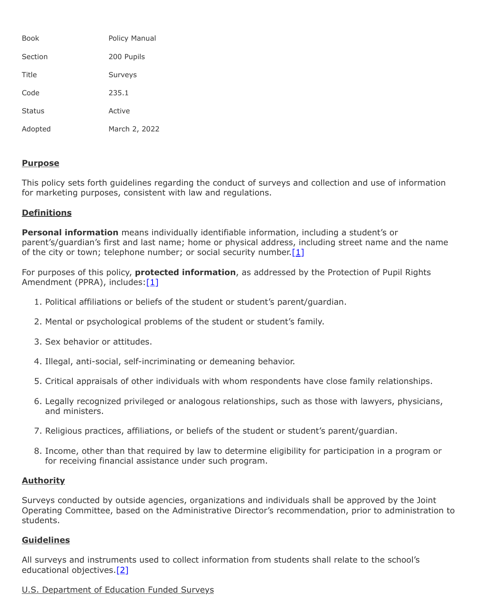| Book          | Policy Manual  |
|---------------|----------------|
| Section       | 200 Pupils     |
| Title         | <b>Surveys</b> |
| Code          | 235.1          |
| <b>Status</b> | Active         |
| Adopted       | March 2, 2022  |

## **Purpose**

This policy sets forth guidelines regarding the conduct of surveys and collection and use of information for marketing purposes, consistent with law and regulations.

## **Definitions**

**Personal information** means individually identifiable information, including a student's or parent's/guardian's first and last name; home or physical address, including street name and the name of the city or town; telephone number; or social security number.  $[1]$ 

For purposes of this policy, **protected information**, as addressed by the Protection of Pupil Rights Amendment (PPRA), includes: [\[1\]](http://www.law.cornell.edu/uscode/text/20/1232h)

- 1. Political affiliations or beliefs of the student or student's parent/guardian.
- 2. Mental or psychological problems of the student or student's family.
- 3. Sex behavior or attitudes.
- 4. Illegal, anti-social, self-incriminating or demeaning behavior.
- 5. Critical appraisals of other individuals with whom respondents have close family relationships.
- 6. Legally recognized privileged or analogous relationships, such as those with lawyers, physicians, and ministers.
- 7. Religious practices, affiliations, or beliefs of the student or student's parent/guardian.
- 8. Income, other than that required by law to determine eligibility for participation in a program or for receiving financial assistance under such program.

## **Authority**

Surveys conducted by outside agencies, organizations and individuals shall be approved by the Joint Operating Committee, based on the Administrative Director's recommendation, prior to administration to students.

## **Guidelines**

All surveys and instruments used to collect information from students shall relate to the school's educational objectives[.\[2\]](http://pacodeandbulletin.gov/Display/pacode?file=/secure/pacode/data/022/chapter12/s12.41.html&d=reduce)

# U.S. Department of Education Funded Surveys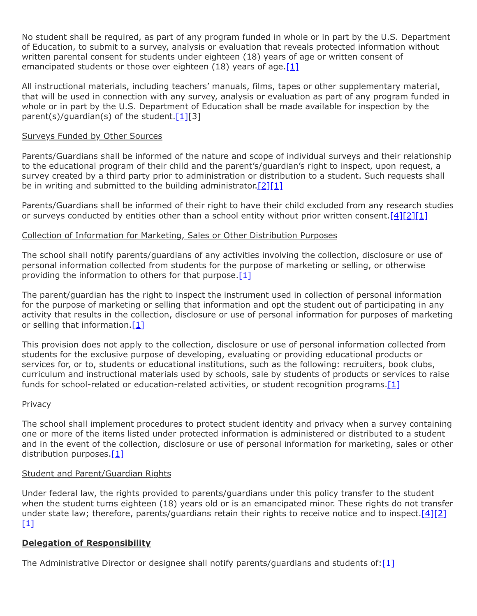No student shall be required, as part of any program funded in whole or in part by the U.S. Department of Education, to submit to a survey, analysis or evaluation that reveals protected information without written parental consent for students under eighteen (18) years of age or written consent of emancipated students or those over eighteen (18) years of age.<sup>[1]</sup>

All instructional materials, including teachers' manuals, films, tapes or other supplementary material, that will be used in connection with any survey, analysis or evaluation as part of any program funded in whole or in part by the U.S. Department of Education shall be made available for inspection by the parent(s)/quardian(s) of the student.  $[1][3]$ 

## Surveys Funded by Other Sources

Parents/Guardians shall be informed of the nature and scope of individual surveys and their relationship to the educational program of their child and the parent's/guardian's right to inspect, upon request, a survey created by a third party prior to administration or distribution to a student. Such requests shall be in writing and submitted to the building administrator.  $[2][1]$  $[2][1]$ 

Parents/Guardians shall be informed of their right to have their child excluded from any research studies or surveys conducted by entities other than a school entity without prior written consent.  $[4][2][1]$  $[4][2][1]$  $[4][2][1]$ 

#### Collection of Information for Marketing, Sales or Other Distribution Purposes

The school shall notify parents/guardians of any activities involving the collection, disclosure or use of personal information collected from students for the purpose of marketing or selling, or otherwise providing the information to others for that purpose. $[1]$ 

The parent/guardian has the right to inspect the instrument used in collection of personal information for the purpose of marketing or selling that information and opt the student out of participating in any activity that results in the collection, disclosure or use of personal information for purposes of marketing or selling that information. $[1]$ 

This provision does not apply to the collection, disclosure or use of personal information collected from students for the exclusive purpose of developing, evaluating or providing educational products or services for, or to, students or educational institutions, such as the following: recruiters, book clubs, curriculum and instructional materials used by schools, sale by students of products or services to raise funds for school-related or education-related activities, or student recognition programs. $[1]$ 

#### **Privacy**

The school shall implement procedures to protect student identity and privacy when a survey containing one or more of the items listed under protected information is administered or distributed to a student and in the event of the collection, disclosure or use of personal information for marketing, sales or other distribution purposes.[\[1\]](http://www.law.cornell.edu/uscode/text/20/1232h)

#### Student and Parent/Guardian Rights

Under federal law, the rights provided to parents/guardians under this policy transfer to the student when the student turns eighteen (18) years old or is an emancipated minor. These rights do not transfer under state law; therefore, parents/guardians retain their rights to receive notice and to inspect.[\[4\]](http://pacodeandbulletin.gov/Display/pacode?file=/secure/pacode/data/022/chapter4/s4.4.html&d=reduce)[\[2\]](http://pacodeandbulletin.gov/Display/pacode?file=/secure/pacode/data/022/chapter12/s12.41.html&d=reduce)  $[1]$ 

## **Delegation of Responsibility**

The Administrative Director or designee shall notify parents/guardians and students of: $[1]$